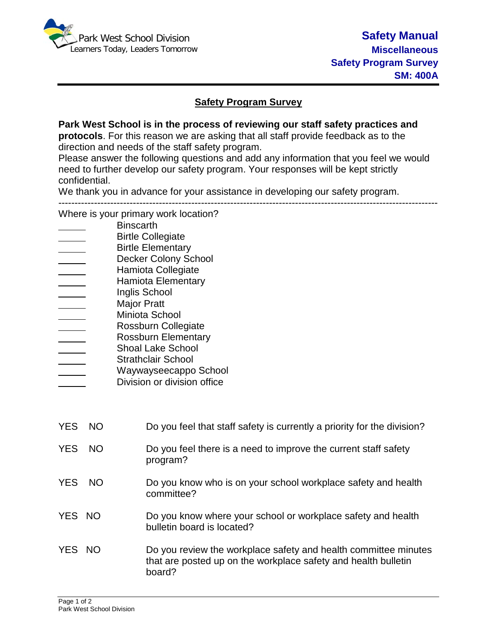

## **Safety Program Survey**

**Park West School is in the process of reviewing our staff safety practices and protocols**. For this reason we are asking that all staff provide feedback as to the direction and needs of the staff safety program.

Please answer the following questions and add any information that you feel we would need to further develop our safety program. Your responses will be kept strictly confidential.

We thank you in advance for your assistance in developing our safety program.

---------------------------------------------------------------------------------------------------------------------

Where is your primary work location?

- **Binscarth**
- Birtle Collegiate
- Birtle Elementary
- Decker Colony School
- Hamiota Collegiate
- Hamiota Elementary
- Inglis School
- **Major Pratt**
- Miniota School
- \_\_\_\_\_ Rossburn Collegiate<br>Rossburn Elementary
- Rossburn Elementary
- Shoal Lake School
- Strathclair School
- Waywayseecappo School
- Division or division office

| YES NO     |     | Do you feel that staff safety is currently a priority for the division?                                                                     |
|------------|-----|---------------------------------------------------------------------------------------------------------------------------------------------|
| <b>YES</b> | NO. | Do you feel there is a need to improve the current staff safety<br>program?                                                                 |
| YES NO     |     | Do you know who is on your school workplace safety and health<br>committee?                                                                 |
| YES NO     |     | Do you know where your school or workplace safety and health<br>bulletin board is located?                                                  |
| YES NO     |     | Do you review the workplace safety and health committee minutes<br>that are posted up on the workplace safety and health bulletin<br>board? |